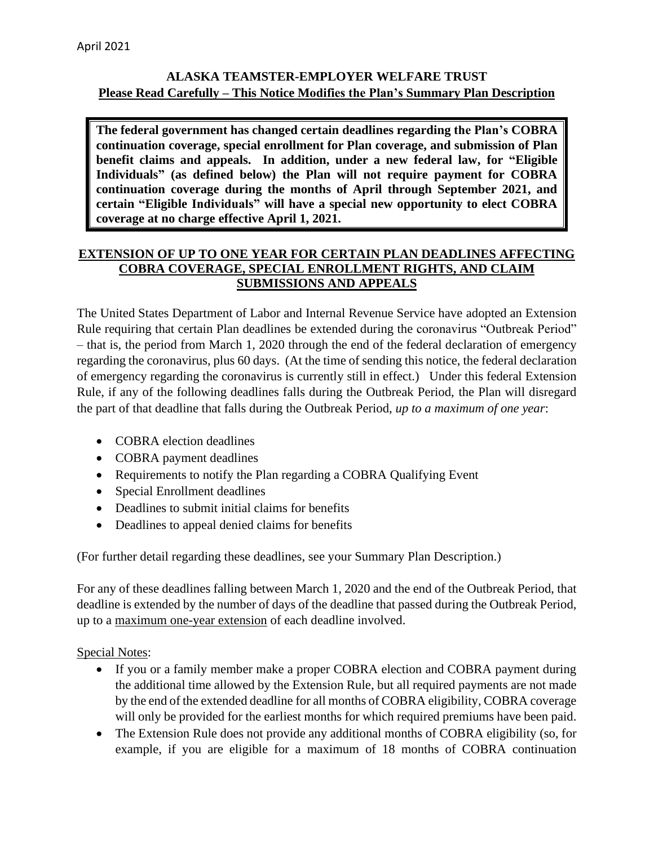## **ALASKA TEAMSTER-EMPLOYER WELFARE TRUST Please Read Carefully – This Notice Modifies the Plan's Summary Plan Description**

**The federal government has changed certain deadlines regarding the Plan's COBRA continuation coverage, special enrollment for Plan coverage, and submission of Plan benefit claims and appeals. In addition, under a new federal law, for "Eligible Individuals" (as defined below) the Plan will not require payment for COBRA continuation coverage during the months of April through September 2021, and certain "Eligible Individuals" will have a special new opportunity to elect COBRA coverage at no charge effective April 1, 2021.** 

## **EXTENSION OF UP TO ONE YEAR FOR CERTAIN PLAN DEADLINES AFFECTING COBRA COVERAGE, SPECIAL ENROLLMENT RIGHTS, AND CLAIM SUBMISSIONS AND APPEALS**

The United States Department of Labor and Internal Revenue Service have adopted an Extension Rule requiring that certain Plan deadlines be extended during the coronavirus "Outbreak Period" – that is, the period from March 1, 2020 through the end of the federal declaration of emergency regarding the coronavirus, plus 60 days. (At the time of sending this notice, the federal declaration of emergency regarding the coronavirus is currently still in effect.) Under this federal Extension Rule, if any of the following deadlines falls during the Outbreak Period, the Plan will disregard the part of that deadline that falls during the Outbreak Period, *up to a maximum of one year*:

- COBRA election deadlines
- COBRA payment deadlines
- Requirements to notify the Plan regarding a COBRA Qualifying Event
- Special Enrollment deadlines
- Deadlines to submit initial claims for benefits
- Deadlines to appeal denied claims for benefits

(For further detail regarding these deadlines, see your Summary Plan Description.)

For any of these deadlines falling between March 1, 2020 and the end of the Outbreak Period, that deadline is extended by the number of days of the deadline that passed during the Outbreak Period, up to a maximum one-year extension of each deadline involved.

## Special Notes:

- If you or a family member make a proper COBRA election and COBRA payment during the additional time allowed by the Extension Rule, but all required payments are not made by the end of the extended deadline for all months of COBRA eligibility, COBRA coverage will only be provided for the earliest months for which required premiums have been paid.
- The Extension Rule does not provide any additional months of COBRA eligibility (so, for example, if you are eligible for a maximum of 18 months of COBRA continuation